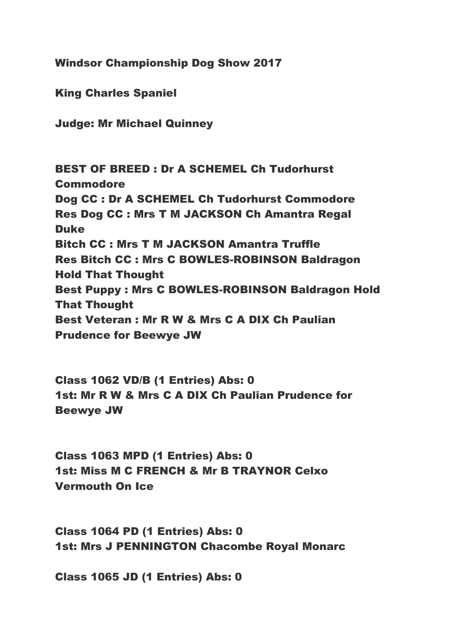Windsor Championship Dog Show 2017

King Charles Spaniel

Judge: Mr Michael Quinney

BEST OF BREED : Dr A SCHEMEL Ch Tudorhurst **Commodore** Dog CC : Dr A SCHEMEL Ch Tudorhurst Commodore Res Dog CC : Mrs T M JACKSON Ch Amantra Regal Duke Bitch CC : Mrs T M JACKSON Amantra Truffle Res Bitch CC : Mrs C BOWLES-ROBINSON Baldragon Hold That Thought Best Puppy : Mrs C BOWLES-ROBINSON Baldragon Hold That Thought Best Veteran : Mr R W & Mrs C A DIX Ch Paulian Prudence for Beewye JW

Class 1062 VD/B (1 Entries) Abs: 0 1st: Mr R W & Mrs C A DIX Ch Paulian Prudence for Beewye JW

Class 1063 MPD (1 Entries) Abs: 0 1st: Miss M C FRENCH & Mr B TRAYNOR Celxo Vermouth On Ice

Class 1064 PD (1 Entries) Abs: 0 1st: Mrs J PENNINGTON Chacombe Royal Monarc

Class 1065 JD (1 Entries) Abs: 0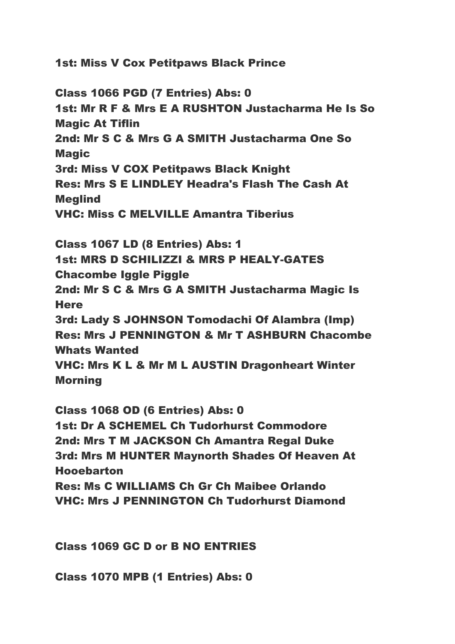1st: Miss V Cox Petitpaws Black Prince

Class 1066 PGD (7 Entries) Abs: 0 1st: Mr R F & Mrs E A RUSHTON Justacharma He Is So Magic At Tiflin 2nd: Mr S C & Mrs G A SMITH Justacharma One So Magic 3rd: Miss V COX Petitpaws Black Knight Res: Mrs S E LINDLEY Headra's Flash The Cash At **Mealind** VHC: Miss C MELVILLE Amantra Tiberius Class 1067 LD (8 Entries) Abs: 1 1st: MRS D SCHILIZZI & MRS P HEALY-GATES Chacombe Iggle Piggle 2nd: Mr S C & Mrs G A SMITH Justacharma Magic Is **Here** 3rd: Lady S JOHNSON Tomodachi Of Alambra (Imp) Res: Mrs J PENNINGTON & Mr T ASHBURN Chacombe Whats Wanted VHC: Mrs K L & Mr M L AUSTIN Dragonheart Winter

Morning

Class 1068 OD (6 Entries) Abs: 0 1st: Dr A SCHEMEL Ch Tudorhurst Commodore 2nd: Mrs T M JACKSON Ch Amantra Regal Duke 3rd: Mrs M HUNTER Maynorth Shades Of Heaven At Hooebarton Res: Ms C WILLIAMS Ch Gr Ch Maibee Orlando VHC: Mrs J PENNINGTON Ch Tudorhurst Diamond

Class 1069 GC D or B NO ENTRIES

Class 1070 MPB (1 Entries) Abs: 0